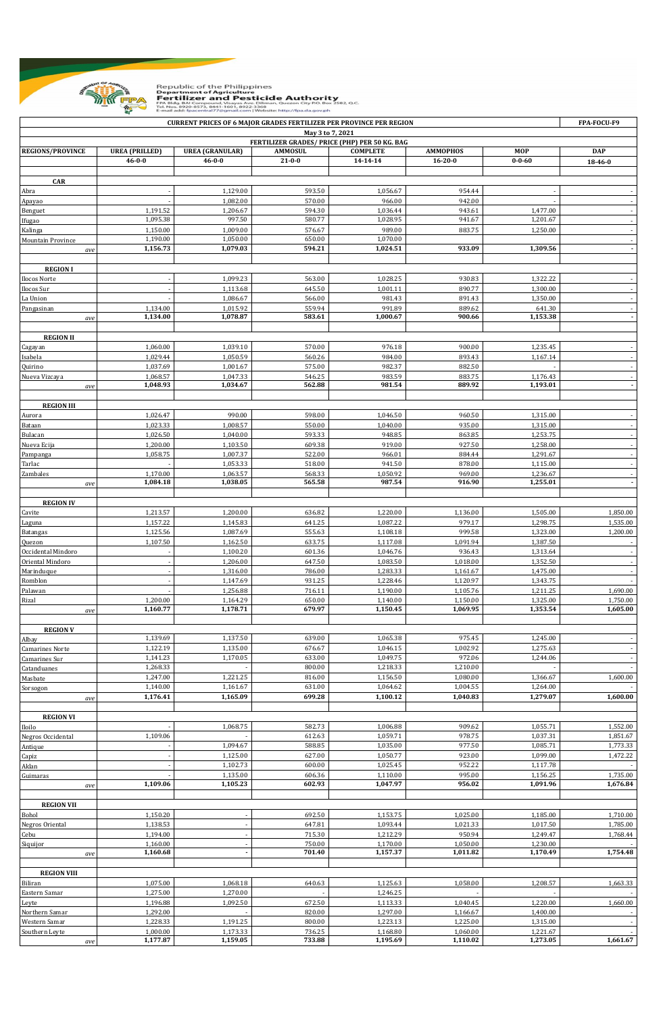

Republic of the Philippines<br>**Department of Agriculture<br>Fertilizer and Pesticide Authority**<br>FM 8149-801 compound, Vasyas Ave. Dilman, Quezon City P.O. Box 2582, Q.C.<br>Email add: fpacentral?7@gmail.com |Website: http://fpa.da

|                                                                   |                       | <b>CURRENT PRICES OF 6 MAJOR GRADES FERTILIZER PER PROVINCE PER REGION</b> |                  |                      |                      |                      | FPA-FOCU-F9              |  |  |  |  |  |
|-------------------------------------------------------------------|-----------------------|----------------------------------------------------------------------------|------------------|----------------------|----------------------|----------------------|--------------------------|--|--|--|--|--|
| May 3 to 7, 2021<br>FERTILIZER GRADES/ PRICE (PHP) PER 50 KG. BAG |                       |                                                                            |                  |                      |                      |                      |                          |  |  |  |  |  |
| <b>REGIONS/PROVINCE</b>                                           | <b>UREA</b> (PRILLED) | <b>UREA (GRANULAR)</b>                                                     | <b>AMMOSUL</b>   | <b>COMPLETE</b>      | <b>AMMOPHOS</b>      | <b>MOP</b>           | <b>DAP</b>               |  |  |  |  |  |
|                                                                   | $46 - 0 - 0$          | 46-0-0                                                                     | $21 - 0 - 0$     | 14-14-14             | $16 - 20 - 0$        | $0 - 0 - 60$         | 18-46-0                  |  |  |  |  |  |
|                                                                   |                       |                                                                            |                  |                      |                      |                      |                          |  |  |  |  |  |
| <b>CAR</b>                                                        |                       |                                                                            |                  |                      |                      |                      |                          |  |  |  |  |  |
| Abra                                                              |                       | 1,129.00                                                                   | 593.50           | 1,056.67             | 954.44               |                      |                          |  |  |  |  |  |
| Apayao                                                            |                       | 1,082.00                                                                   | 570.00           | 966.00               | 942.00               |                      |                          |  |  |  |  |  |
| Benguet                                                           | 1,191.52<br>1,095.38  | 1,206.67<br>997.50                                                         | 594.30<br>580.77 | 1,036.44<br>1,028.95 | 943.61<br>941.67     | 1,477.00<br>1,201.67 |                          |  |  |  |  |  |
| Ifugao                                                            |                       |                                                                            |                  |                      |                      |                      |                          |  |  |  |  |  |
| Kalinga<br>Mountain Province                                      | 1,150.00<br>1,190.00  | 1,009.00<br>1,050.00                                                       | 576.67<br>650.00 | 989.00<br>1,070.00   | 883.75               | 1,250.00             | $\overline{\phantom{a}}$ |  |  |  |  |  |
| ave                                                               | 1,156.73              | 1,079.03                                                                   | 594.21           | 1,024.51             | 933.09               | 1,309.56             | $\overline{\phantom{a}}$ |  |  |  |  |  |
|                                                                   |                       |                                                                            |                  |                      |                      |                      |                          |  |  |  |  |  |
| <b>REGION I</b>                                                   |                       |                                                                            |                  |                      |                      |                      |                          |  |  |  |  |  |
| Ilocos Norte                                                      |                       | 1,099.23                                                                   | 563.00           | 1,028.25             | 930.83               | 1,322.22             |                          |  |  |  |  |  |
| Ilocos Sur                                                        |                       | 1,113.68                                                                   | 645.50           | 1,001.11             | 890.77               | 1,300.00             | $\overline{\phantom{a}}$ |  |  |  |  |  |
| La Union                                                          |                       | 1,086.67                                                                   | 566.00           | 981.43               | 891.43               | 1,350.00             |                          |  |  |  |  |  |
| Pangasinan                                                        | 1,134.00              | 1,015.92                                                                   | 559.94           | 991.89               | 889.62               | 641.30               |                          |  |  |  |  |  |
| ave                                                               | 1,134.00              | 1,078.87                                                                   | 583.61           | 1,000.67             | 900.66               | 1,153.38             | $\overline{\phantom{a}}$ |  |  |  |  |  |
|                                                                   |                       |                                                                            |                  |                      |                      |                      |                          |  |  |  |  |  |
| <b>REGION II</b>                                                  |                       |                                                                            |                  |                      |                      |                      |                          |  |  |  |  |  |
| Cagayan                                                           | 1,060.00              | 1,039.10                                                                   | 570.00           | 976.18               | 900.00               | 1,235.45             | $\overline{\phantom{a}}$ |  |  |  |  |  |
| Isabela                                                           | 1,029.44              | 1,050.59                                                                   | 560.26           | 984.00               | 893.43               | 1,167.14             |                          |  |  |  |  |  |
| Quirino                                                           | 1,037.69              | 1,001.67                                                                   | 575.00           | 982.37               | 882.50               |                      | $\overline{\phantom{a}}$ |  |  |  |  |  |
| Nueva Vizcaya                                                     | 1,068.57<br>1,048.93  | 1,047.33<br>1,034.67                                                       | 546.25<br>562.88 | 983.59<br>981.54     | 883.75<br>889.92     | 1,176.43<br>1,193.01 | $\overline{\phantom{a}}$ |  |  |  |  |  |
| ave                                                               |                       |                                                                            |                  |                      |                      |                      |                          |  |  |  |  |  |
| <b>REGION III</b>                                                 |                       |                                                                            |                  |                      |                      |                      |                          |  |  |  |  |  |
| Aurora                                                            | 1,026.47              | 990.00                                                                     | 598.00           | 1,046.50             | 960.50               | 1,315.00             |                          |  |  |  |  |  |
| Bataan                                                            | 1,023.33              | 1,008.57                                                                   | 550.00           | 1,040.00             | 935.00               | 1,315.00             | $\overline{\phantom{a}}$ |  |  |  |  |  |
| Bulacan                                                           | 1,026.50              | 1,040.00                                                                   | 593.33           | 948.85               | 863.85               | 1,253.75             |                          |  |  |  |  |  |
| Nueva Ecija                                                       | 1,200.00              | 1,103.50                                                                   | 609.38           | 919.00               | 927.50               | 1,258.00             | $\overline{\phantom{a}}$ |  |  |  |  |  |
| Pampanga                                                          | 1,058.75              | 1,007.37                                                                   | 522.00           | 966.01               | 884.44               | 1,291.67             |                          |  |  |  |  |  |
| Tarlac                                                            |                       | 1,053.33                                                                   | 518.00           | 941.50               | 878.00               | 1,115.00             | $\overline{\phantom{a}}$ |  |  |  |  |  |
| Zambales                                                          | 1,170.00              | 1,063.57                                                                   | 568.33           | 1,050.92             | 969.00               | 1,236.67             | $\overline{\phantom{a}}$ |  |  |  |  |  |
| ave                                                               | 1,084.18              | 1,038.05                                                                   | 565.58           | 987.54               | 916.90               | 1,255.01             | $\overline{\phantom{a}}$ |  |  |  |  |  |
|                                                                   |                       |                                                                            |                  |                      |                      |                      |                          |  |  |  |  |  |
| <b>REGION IV</b>                                                  |                       |                                                                            |                  |                      |                      |                      |                          |  |  |  |  |  |
| Cavite                                                            | 1,213.57              | 1,200.00                                                                   | 636.82           | 1,220.00             | 1,136.00             | 1,505.00             | 1,850.00                 |  |  |  |  |  |
| Laguna                                                            | 1,157.22              | 1,145.83                                                                   | 641.25           | 1,087.22             | 979.17               | 1,298.75             | 1,535.00                 |  |  |  |  |  |
| <b>Batangas</b>                                                   | 1,125.56              | 1,087.69                                                                   | 555.63           | 1,108.18             | 999.58               | 1,323.00             | 1,200.00                 |  |  |  |  |  |
| Quezon                                                            | 1,107.50              | 1,162.50                                                                   | 633.75           | 1,117.08             | 1,091.94             | 1,387.50             |                          |  |  |  |  |  |
| Occidental Mindoro                                                |                       | 1,100.20                                                                   | 601.36           | 1,046.76             | 936.43               | 1,313.64             |                          |  |  |  |  |  |
| Oriental Mindoro                                                  |                       | 1,206.00                                                                   | 647.50           | 1,083.50             | 1,018.00             | 1,352.50             | $\overline{\phantom{a}}$ |  |  |  |  |  |
| Marinduque                                                        |                       | 1,316.00                                                                   | 786.00<br>931.25 | 1,283.33             | 1,161.67             | 1,475.00             | $\sim$<br>$\omega$       |  |  |  |  |  |
| Romblon<br>Palawan                                                |                       | 1,147.69<br>1,256.88                                                       | 716.11           | 1,228.46<br>1,190.00 | 1,120.97<br>1,105.76 | 1,343.75<br>1,211.25 | 1,690.00                 |  |  |  |  |  |
| Rizal                                                             | 1,200.00              | 1,164.29                                                                   | 650.00           | 1,140.00             | 1,150.00             | 1,325.00             | 1,750.00                 |  |  |  |  |  |
| ave                                                               | 1,160.77              | 1,178.71                                                                   | 679.97           | 1,150.45             | 1,069.95             | 1,353.54             | 1,605.00                 |  |  |  |  |  |
|                                                                   |                       |                                                                            |                  |                      |                      |                      |                          |  |  |  |  |  |
| <b>REGION V</b>                                                   |                       |                                                                            |                  |                      |                      |                      |                          |  |  |  |  |  |
| Albay                                                             | 1,139.69              | 1,137.50                                                                   | 639.00           | 1,065.38             | 975.45               | 1,245.00             |                          |  |  |  |  |  |
| <b>Camarines Norte</b>                                            | 1,122.19              | 1,135.00                                                                   | 676.67           | 1,046.15             | 1,002.92             | 1,275.63             | $\sim$                   |  |  |  |  |  |
| Camarines Sur                                                     | 1,141.23              | 1,170.05                                                                   | 633.00           | 1,049.75             | 972.06               | 1,244.06             | $\sim$                   |  |  |  |  |  |
| Catanduanes                                                       | 1,268.33              |                                                                            | 800.00           | 1,218.33             | 1,210.00             |                      | $\sim$                   |  |  |  |  |  |
| Masbate                                                           | 1,247.00              | 1,221.25                                                                   | 816.00           | 1,156.50             | 1,080.00             | 1,366.67             | 1,600.00                 |  |  |  |  |  |
| Sorsogon                                                          | 1,140.00              | 1,161.67                                                                   | 631.00           | 1,064.62             | 1,004.55             | 1,264.00             |                          |  |  |  |  |  |
| ave                                                               | 1,176.41              | 1,165.09                                                                   | 699.28           | 1,100.12             | 1,040.83             | 1,279.07             | 1,600.00                 |  |  |  |  |  |
|                                                                   |                       |                                                                            |                  |                      |                      |                      |                          |  |  |  |  |  |
| <b>REGION VI</b>                                                  |                       |                                                                            |                  |                      | 909.62               | 1,055.71             |                          |  |  |  |  |  |
| Iloilo<br>Negros Occidental                                       | 1,109.06              | 1,068.75                                                                   | 582.73<br>612.63 | 1,006.88<br>1,059.71 | 978.75               | 1,037.31             | 1,552.00<br>1,851.67     |  |  |  |  |  |
|                                                                   |                       | 1,094.67                                                                   | 588.85           | 1,035.00             | 977.50               | 1,085.71             | 1,773.33                 |  |  |  |  |  |
| Antique<br>Capiz                                                  |                       | 1,125.00                                                                   | 627.00           | 1,050.77             | 923.00               | 1,099.00             | 1,472.22                 |  |  |  |  |  |
| Aklan                                                             |                       | 1,102.73                                                                   | 600.00           | 1,025.45             | 952.22               | 1,117.78             |                          |  |  |  |  |  |
| Guimaras                                                          |                       | 1,135.00                                                                   | 606.36           | 1,110.00             | 995.00               | 1,156.25             | 1,735.00                 |  |  |  |  |  |
| ave                                                               | 1,109.06              | 1,105.23                                                                   | 602.93           | 1,047.97             | 956.02               | 1,091.96             | 1,676.84                 |  |  |  |  |  |
|                                                                   |                       |                                                                            |                  |                      |                      |                      |                          |  |  |  |  |  |
| <b>REGION VII</b>                                                 |                       |                                                                            |                  |                      |                      |                      |                          |  |  |  |  |  |
| Bohol                                                             | 1,150.20              |                                                                            | 692.50           | 1,153.75             | 1,025.00             | 1,185.00             | 1,710.00                 |  |  |  |  |  |
| Negros Oriental                                                   | 1,138.53              |                                                                            | 647.81           | 1,093.44             | 1,021.33             | 1,017.50             | 1,785.00                 |  |  |  |  |  |
| Cebu                                                              | 1,194.00              |                                                                            | 715.30           | 1,212.29             | 950.94               | 1,249.47             | 1,768.44                 |  |  |  |  |  |
| Siquijor                                                          | 1,160.00              |                                                                            | 750.00           | 1,170.00             | 1,050.00             | 1,230.00             |                          |  |  |  |  |  |
| ave                                                               | 1,160.68              | ÷,                                                                         | 701.40           | 1,157.37             | 1,011.82             | 1,170.49             | 1,754.48                 |  |  |  |  |  |
|                                                                   |                       |                                                                            |                  |                      |                      |                      |                          |  |  |  |  |  |
| <b>REGION VIII</b>                                                |                       |                                                                            |                  |                      |                      |                      |                          |  |  |  |  |  |
| Biliran                                                           | 1,075.00<br>1,275.00  | 1,068.18<br>1,270.00                                                       | 640.63           | 1,125.63             | 1,058.00             | 1,208.57             | 1,663.33                 |  |  |  |  |  |
| Eastern Samar                                                     | 1,196.88              | 1,092.50                                                                   | 672.50           | 1,246.25<br>1,113.33 | 1,040.45             | 1,220.00             | 1,660.00                 |  |  |  |  |  |
| Leyte<br>Northern Samar                                           | 1,292.00              |                                                                            | 820.00           | 1,297.00             | 1,166.67             | 1,400.00             |                          |  |  |  |  |  |
| Western Samar                                                     | 1,228.33              | 1,191.25                                                                   | 800.00           | 1,223.13             | 1,225.00             | 1,315.00             |                          |  |  |  |  |  |
| Southern Leyte                                                    | 1,000.00              | 1,173.33                                                                   | 736.25           | 1,168.80             | 1,060.00             | 1,221.67             |                          |  |  |  |  |  |
| $\emph{ave}$                                                      | 1,177.87              | 1,159.05                                                                   | 733.88           | 1,195.69             | 1,110.02             | 1,273.05             | 1,661.67                 |  |  |  |  |  |
|                                                                   |                       |                                                                            |                  |                      |                      |                      |                          |  |  |  |  |  |